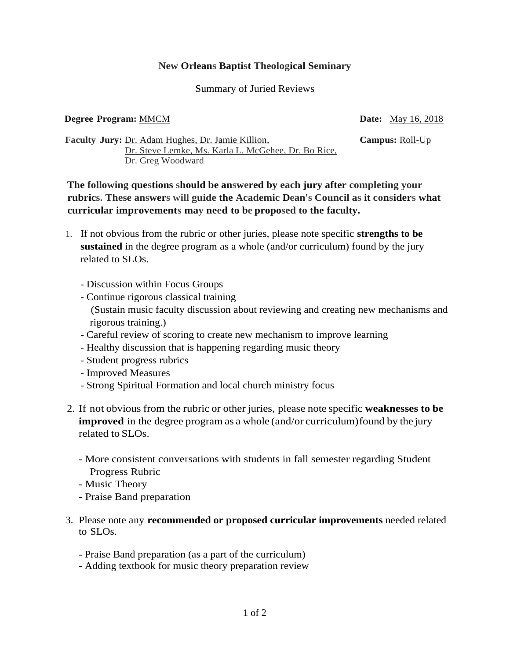## **New Orleans Baptist Theological Seminary**

## Summary of Juried Reviews

## **Degree Program:** MMCM **Date:** May 16, 2018

**Faculty Jury:** Dr. Adam Hughes, Dr. Jamie Killion, **Campus:** Roll-Up Dr. Steve Lemke, Ms. Karla L. McGehee, Dr. Bo Rice, Dr. Greg Woodward

**The following questions should be answered by each jury after completing your rubrics. These answers will guide the Academic Dean's Council as it considers what curricular improvements may need to be proposed to the faculty.**

- 1. If not obvious from the rubric or other juries, please note specific **strengths to be sustained** in the degree program as a whole (and/or curriculum) found by the jury related to SLOs.
	- Discussion within Focus Groups
	- Continue rigorous classical training (Sustain music faculty discussion about reviewing and creating new mechanisms and rigorous training.)
	- Careful review of scoring to create new mechanism to improve learning
	- Healthy discussion that is happening regarding music theory
	- Student progress rubrics
	- Improved Measures
	- Strong Spiritual Formation and local church ministry focus
- 2. If not obvious from the rubric or other juries, please note specific **weaknesses to be improved** in the degree program as a whole (and/or curriculum) found by the jury related to SLOs.
	- More consistent conversations with students in fall semester regarding Student Progress Rubric
	- Music Theory
	- Praise Band preparation
- 3. Please note any **recommended or proposed curricular improvements** needed related to SLOs.
	- Praise Band preparation (as a part of the curriculum)
	- Adding textbook for music theory preparation review